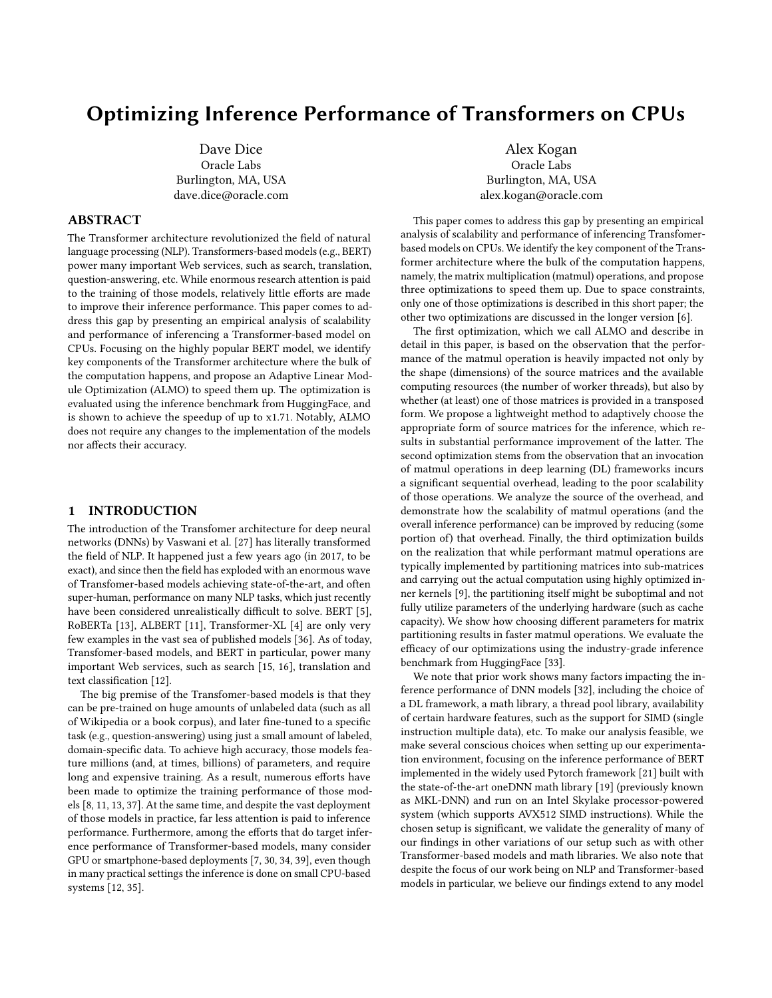# Optimizing Inference Performance of Transformers on CPUs

Dave Dice Oracle Labs Burlington, MA, USA dave.dice@oracle.com

### ABSTRACT

The Transformer architecture revolutionized the field of natural language processing (NLP). Transformers-based models (e.g., BERT) power many important Web services, such as search, translation, question-answering, etc. While enormous research attention is paid to the training of those models, relatively little efforts are made to improve their inference performance. This paper comes to address this gap by presenting an empirical analysis of scalability and performance of inferencing a Transformer-based model on CPUs. Focusing on the highly popular BERT model, we identify key components of the Transformer architecture where the bulk of the computation happens, and propose an Adaptive Linear Module Optimization (ALMO) to speed them up. The optimization is evaluated using the inference benchmark from HuggingFace, and is shown to achieve the speedup of up to x1.71. Notably, ALMO does not require any changes to the implementation of the models nor affects their accuracy.

# 1 INTRODUCTION

The introduction of the Transfomer architecture for deep neural networks (DNNs) by Vaswani et al. [\[27\]](#page-6-0) has literally transformed the field of NLP. It happened just a few years ago (in 2017, to be exact), and since then the field has exploded with an enormous wave of Transfomer-based models achieving state-of-the-art, and often super-human, performance on many NLP tasks, which just recently have been considered unrealistically difficult to solve. BERT [\[5\]](#page-6-1), RoBERTa [\[13\]](#page-6-2), ALBERT [\[11\]](#page-6-3), Transformer-XL [\[4\]](#page-6-4) are only very few examples in the vast sea of published models [\[36\]](#page-6-5). As of today, Transfomer-based models, and BERT in particular, power many important Web services, such as search [\[15,](#page-6-6) [16\]](#page-6-7), translation and text classification [\[12\]](#page-6-8).

The big premise of the Transfomer-based models is that they can be pre-trained on huge amounts of unlabeled data (such as all of Wikipedia or a book corpus), and later fine-tuned to a specific task (e.g., question-answering) using just a small amount of labeled, domain-specific data. To achieve high accuracy, those models feature millions (and, at times, billions) of parameters, and require long and expensive training. As a result, numerous efforts have been made to optimize the training performance of those models [\[8,](#page-6-9) [11,](#page-6-3) [13,](#page-6-2) [37\]](#page-6-10). At the same time, and despite the vast deployment of those models in practice, far less attention is paid to inference performance. Furthermore, among the efforts that do target inference performance of Transformer-based models, many consider GPU or smartphone-based deployments [\[7,](#page-6-11) [30,](#page-6-12) [34,](#page-6-13) [39\]](#page-6-14), even though in many practical settings the inference is done on small CPU-based systems [\[12,](#page-6-8) [35\]](#page-6-15).

Alex Kogan Oracle Labs Burlington, MA, USA alex.kogan@oracle.com

This paper comes to address this gap by presenting an empirical analysis of scalability and performance of inferencing Transfomerbased models on CPUs. We identify the key component of the Transformer architecture where the bulk of the computation happens, namely, the matrix multiplication (matmul) operations, and propose three optimizations to speed them up. Due to space constraints, only one of those optimizations is described in this short paper; the other two optimizations are discussed in the longer version [\[6\]](#page-6-16).

The first optimization, which we call ALMO and describe in detail in this paper, is based on the observation that the performance of the matmul operation is heavily impacted not only by the shape (dimensions) of the source matrices and the available computing resources (the number of worker threads), but also by whether (at least) one of those matrices is provided in a transposed form. We propose a lightweight method to adaptively choose the appropriate form of source matrices for the inference, which results in substantial performance improvement of the latter. The second optimization stems from the observation that an invocation of matmul operations in deep learning (DL) frameworks incurs a significant sequential overhead, leading to the poor scalability of those operations. We analyze the source of the overhead, and demonstrate how the scalability of matmul operations (and the overall inference performance) can be improved by reducing (some portion of) that overhead. Finally, the third optimization builds on the realization that while performant matmul operations are typically implemented by partitioning matrices into sub-matrices and carrying out the actual computation using highly optimized inner kernels [\[9\]](#page-6-17), the partitioning itself might be suboptimal and not fully utilize parameters of the underlying hardware (such as cache capacity). We show how choosing different parameters for matrix partitioning results in faster matmul operations. We evaluate the efficacy of our optimizations using the industry-grade inference benchmark from HuggingFace [\[33\]](#page-6-18).

We note that prior work shows many factors impacting the inference performance of DNN models [\[32\]](#page-6-19), including the choice of a DL framework, a math library, a thread pool library, availability of certain hardware features, such as the support for SIMD (single instruction multiple data), etc. To make our analysis feasible, we make several conscious choices when setting up our experimentation environment, focusing on the inference performance of BERT implemented in the widely used Pytorch framework [\[21\]](#page-6-20) built with the state-of-the-art oneDNN math library [\[19\]](#page-6-21) (previously known as MKL-DNN) and run on an Intel Skylake processor-powered system (which supports AVX512 SIMD instructions). While the chosen setup is significant, we validate the generality of many of our findings in other variations of our setup such as with other Transformer-based models and math libraries. We also note that despite the focus of our work being on NLP and Transformer-based models in particular, we believe our findings extend to any model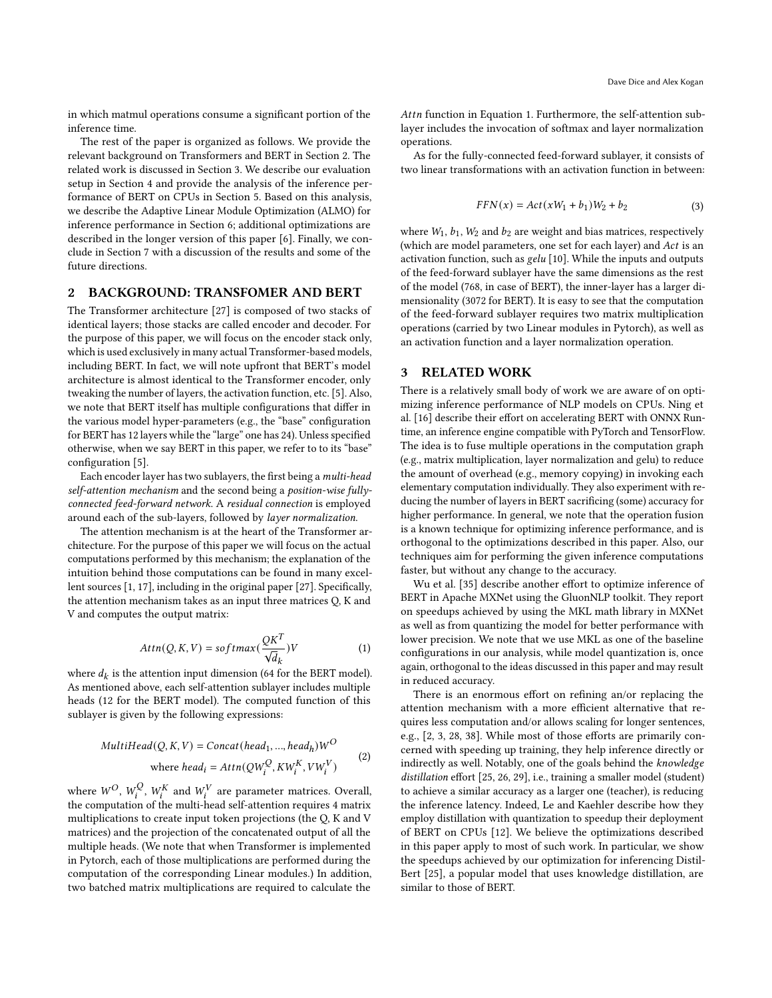in which matmul operations consume a significant portion of the inference time.

The rest of the paper is organized as follows. We provide the relevant background on Transformers and BERT in Section [2.](#page-1-0) The related work is discussed in Section [3.](#page-1-1) We describe our evaluation setup in Section [4](#page-2-0) and provide the analysis of the inference performance of BERT on CPUs in Section [5.](#page-2-1) Based on this analysis, we describe the Adaptive Linear Module Optimization (ALMO) for inference performance in Section [6;](#page-3-0) additional optimizations are described in the longer version of this paper [\[6\]](#page-6-16). Finally, we conclude in Section [7](#page-5-0) with a discussion of the results and some of the future directions.

#### <span id="page-1-0"></span>2 BACKGROUND: TRANSFOMER AND BERT

The Transformer architecture [\[27\]](#page-6-0) is composed of two stacks of identical layers; those stacks are called encoder and decoder. For the purpose of this paper, we will focus on the encoder stack only, which is used exclusively in many actual Transformer-based models, including BERT. In fact, we will note upfront that BERT's model architecture is almost identical to the Transformer encoder, only tweaking the number of layers, the activation function, etc. [\[5\]](#page-6-1). Also, we note that BERT itself has multiple configurations that differ in the various model hyper-parameters (e.g., the "base" configuration for BERT has 12 layers while the "large" one has 24). Unless specified otherwise, when we say BERT in this paper, we refer to to its "base" configuration [\[5\]](#page-6-1).

Each encoder layer has two sublayers, the first being a multi-head self-attention mechanism and the second being a position-wise fullyconnected feed-forward network. A residual connection is employed around each of the sub-layers, followed by layer normalization.

The attention mechanism is at the heart of the Transformer architecture. For the purpose of this paper we will focus on the actual computations performed by this mechanism; the explanation of the intuition behind those computations can be found in many excellent sources [\[1,](#page-6-22) [17\]](#page-6-23), including in the original paper [\[27\]](#page-6-0). Specifically, the attention mechanism takes as an input three matrices Q, K and V and computes the output matrix:

<span id="page-1-2"></span>
$$
Attn(Q, K, V) = softmax(\frac{QK^{T}}{\sqrt{d_{k}}})V
$$
\n(1)

where  $d_k$  is the attention input dimension (64 for the BERT model). As mentioned above, each self-attention sublayer includes multiple heads (12 for the BERT model). The computed function of this sublayer is given by the following expressions:

$$
MultiHead(Q, K, V) = Concat(head_1, ..., head_h)W^O
$$
  
where  $head_i = Attn(QW_i^Q, KW_i^K, VW_i^V)$  (2)

where  $W^O$ ,  $W^Q_i$  $W_i^Q,$   $W_i^K$  and  $W_i^V$  are parameter matrices. Overall, the computation of the multi-head self-attention requires 4 matrix multiplications to create input token projections (the Q, K and V matrices) and the projection of the concatenated output of all the multiple heads. (We note that when Transformer is implemented in Pytorch, each of those multiplications are performed during the computation of the corresponding Linear modules.) In addition, two batched matrix multiplications are required to calculate the

Attn function in Equation [1.](#page-1-2) Furthermore, the self-attention sublayer includes the invocation of softmax and layer normalization operations.

As for the fully-connected feed-forward sublayer, it consists of two linear transformations with an activation function in between:

$$
FFN(x) = Act(xW_1 + b_1)W_2 + b_2
$$
 (3)

where  $W_1$ ,  $b_1$ ,  $W_2$  and  $b_2$  are weight and bias matrices, respectively (which are model parameters, one set for each layer) and Act is an activation function, such as gelu [\[10\]](#page-6-24). While the inputs and outputs of the feed-forward sublayer have the same dimensions as the rest of the model (768, in case of BERT), the inner-layer has a larger dimensionality (3072 for BERT). It is easy to see that the computation of the feed-forward sublayer requires two matrix multiplication operations (carried by two Linear modules in Pytorch), as well as an activation function and a layer normalization operation.

## <span id="page-1-1"></span>3 RELATED WORK

There is a relatively small body of work we are aware of on optimizing inference performance of NLP models on CPUs. Ning et al. [\[16\]](#page-6-7) describe their effort on accelerating BERT with ONNX Runtime, an inference engine compatible with PyTorch and TensorFlow. The idea is to fuse multiple operations in the computation graph (e.g., matrix multiplication, layer normalization and gelu) to reduce the amount of overhead (e.g., memory copying) in invoking each elementary computation individually. They also experiment with reducing the number of layers in BERT sacrificing (some) accuracy for higher performance. In general, we note that the operation fusion is a known technique for optimizing inference performance, and is orthogonal to the optimizations described in this paper. Also, our techniques aim for performing the given inference computations faster, but without any change to the accuracy.

Wu et al. [\[35\]](#page-6-15) describe another effort to optimize inference of BERT in Apache MXNet using the GluonNLP toolkit. They report on speedups achieved by using the MKL math library in MXNet as well as from quantizing the model for better performance with lower precision. We note that we use MKL as one of the baseline configurations in our analysis, while model quantization is, once again, orthogonal to the ideas discussed in this paper and may result in reduced accuracy.

There is an enormous effort on refining an/or replacing the attention mechanism with a more efficient alternative that requires less computation and/or allows scaling for longer sentences, e.g., [\[2,](#page-6-25) [3,](#page-6-26) [28,](#page-6-27) [38\]](#page-6-28). While most of those efforts are primarily concerned with speeding up training, they help inference directly or indirectly as well. Notably, one of the goals behind the knowledge distillation effort [\[25,](#page-6-29) [26,](#page-6-30) [29\]](#page-6-31), i.e., training a smaller model (student) to achieve a similar accuracy as a larger one (teacher), is reducing the inference latency. Indeed, Le and Kaehler describe how they employ distillation with quantization to speedup their deployment of BERT on CPUs [\[12\]](#page-6-8). We believe the optimizations described in this paper apply to most of such work. In particular, we show the speedups achieved by our optimization for inferencing Distil-Bert [\[25\]](#page-6-29), a popular model that uses knowledge distillation, are similar to those of BERT.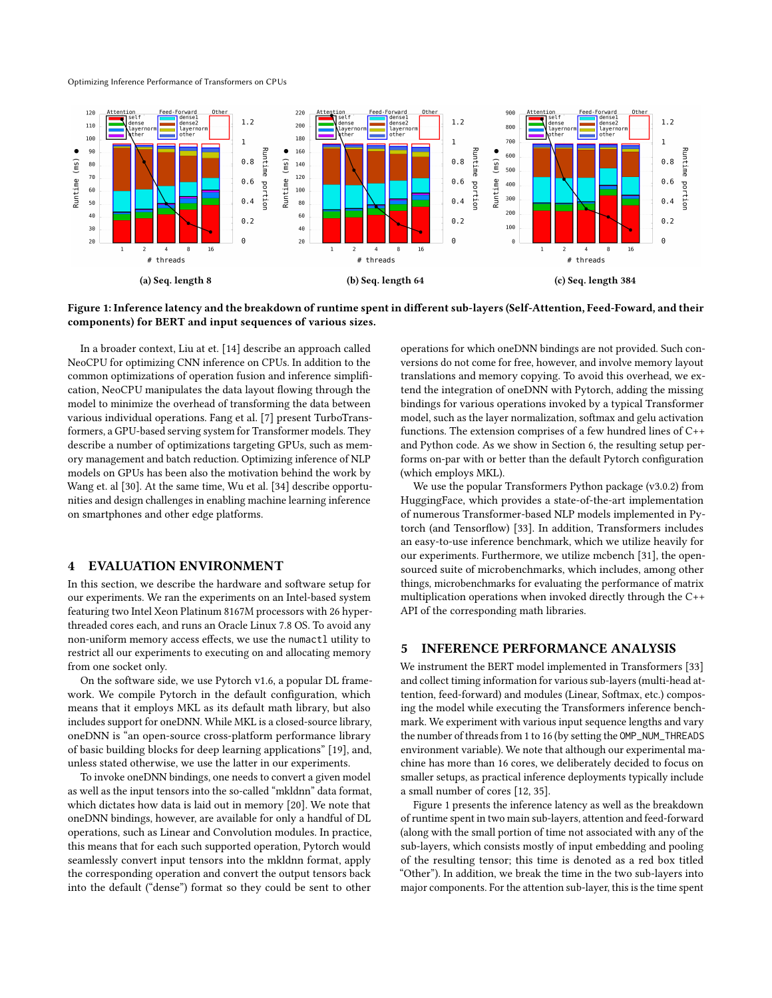Optimizing Inference Performance of Transformers on CPUs

<span id="page-2-2"></span>

Figure 1: Inference latency and the breakdown of runtime spent in different sub-layers (Self-Attention, Feed-Foward, and their components) for BERT and input sequences of various sizes.

In a broader context, Liu at et. [\[14\]](#page-6-32) describe an approach called NeoCPU for optimizing CNN inference on CPUs. In addition to the common optimizations of operation fusion and inference simplification, NeoCPU manipulates the data layout flowing through the model to minimize the overhead of transforming the data between various individual operations. Fang et al. [\[7\]](#page-6-11) present TurboTransformers, a GPU-based serving system for Transformer models. They describe a number of optimizations targeting GPUs, such as memory management and batch reduction. Optimizing inference of NLP models on GPUs has been also the motivation behind the work by Wang et. al [\[30\]](#page-6-12). At the same time, Wu et al. [\[34\]](#page-6-13) describe opportunities and design challenges in enabling machine learning inference on smartphones and other edge platforms.

### <span id="page-2-0"></span>4 EVALUATION ENVIRONMENT

In this section, we describe the hardware and software setup for our experiments. We ran the experiments on an Intel-based system featuring two Intel Xeon Platinum 8167M processors with 26 hyperthreaded cores each, and runs an Oracle Linux 7.8 OS. To avoid any non-uniform memory access effects, we use the numactl utility to restrict all our experiments to executing on and allocating memory from one socket only.

On the software side, we use Pytorch v1.6, a popular DL framework. We compile Pytorch in the default configuration, which means that it employs MKL as its default math library, but also includes support for oneDNN. While MKL is a closed-source library, oneDNN is "an open-source cross-platform performance library of basic building blocks for deep learning applications" [\[19\]](#page-6-21), and, unless stated otherwise, we use the latter in our experiments.

To invoke oneDNN bindings, one needs to convert a given model as well as the input tensors into the so-called "mkldnn" data format, which dictates how data is laid out in memory [\[20\]](#page-6-33). We note that oneDNN bindings, however, are available for only a handful of DL operations, such as Linear and Convolution modules. In practice, this means that for each such supported operation, Pytorch would seamlessly convert input tensors into the mkldnn format, apply the corresponding operation and convert the output tensors back into the default ("dense") format so they could be sent to other

operations for which oneDNN bindings are not provided. Such conversions do not come for free, however, and involve memory layout translations and memory copying. To avoid this overhead, we extend the integration of oneDNN with Pytorch, adding the missing bindings for various operations invoked by a typical Transformer model, such as the layer normalization, softmax and gelu activation functions. The extension comprises of a few hundred lines of C++ and Python code. As we show in Section [6,](#page-3-0) the resulting setup performs on-par with or better than the default Pytorch configuration (which employs MKL).

We use the popular Transformers Python package (v3.0.2) from HuggingFace, which provides a state-of-the-art implementation of numerous Transformer-based NLP models implemented in Pytorch (and Tensorflow) [\[33\]](#page-6-18). In addition, Transformers includes an easy-to-use inference benchmark, which we utilize heavily for our experiments. Furthermore, we utilize mcbench [\[31\]](#page-6-34), the opensourced suite of microbenchmarks, which includes, among other things, microbenchmarks for evaluating the performance of matrix multiplication operations when invoked directly through the C++ API of the corresponding math libraries.

# <span id="page-2-1"></span>5 INFERENCE PERFORMANCE ANALYSIS

We instrument the BERT model implemented in Transformers [\[33\]](#page-6-18) and collect timing information for various sub-layers (multi-head attention, feed-forward) and modules (Linear, Softmax, etc.) composing the model while executing the Transformers inference benchmark. We experiment with various input sequence lengths and vary the number of threads from 1 to 16 (by setting the OMP\_NUM\_THREADS environment variable). We note that although our experimental machine has more than 16 cores, we deliberately decided to focus on smaller setups, as practical inference deployments typically include a small number of cores [\[12,](#page-6-8) [35\]](#page-6-15).

Figure [1](#page-2-2) presents the inference latency as well as the breakdown of runtime spent in two main sub-layers, attention and feed-forward (along with the small portion of time not associated with any of the sub-layers, which consists mostly of input embedding and pooling of the resulting tensor; this time is denoted as a red box titled "Other"). In addition, we break the time in the two sub-layers into major components. For the attention sub-layer, this is the time spent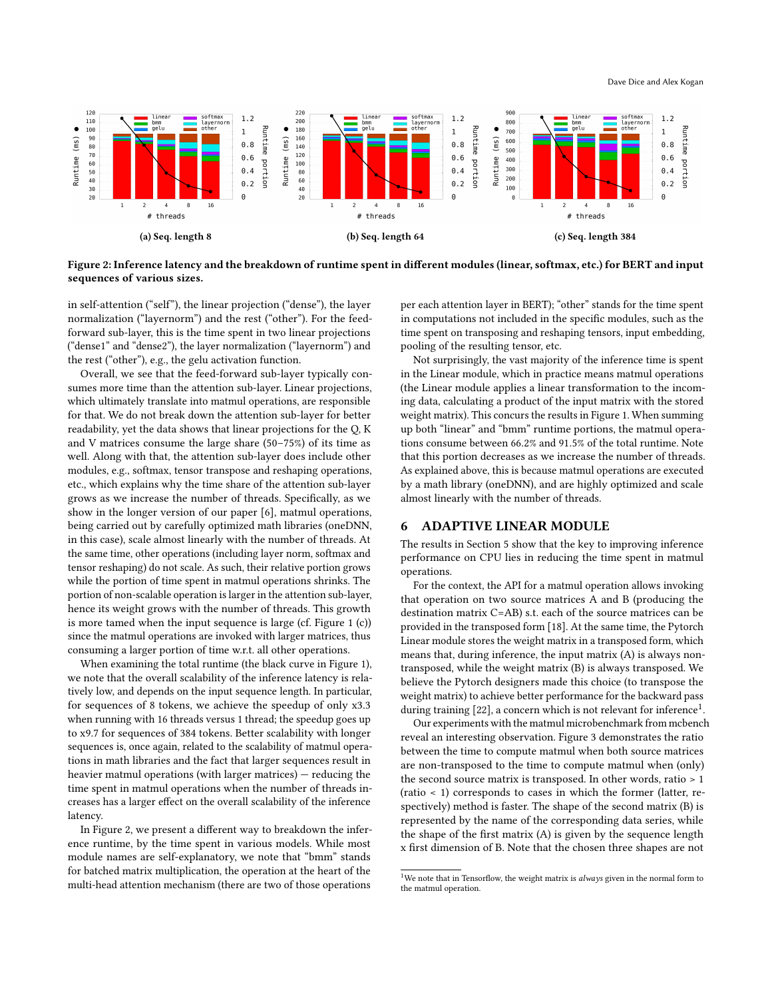<span id="page-3-1"></span>



in self-attention ("self"), the linear projection ("dense"), the layer normalization ("layernorm") and the rest ("other"). For the feedforward sub-layer, this is the time spent in two linear projections ("dense1" and "dense2"), the layer normalization ("layernorm") and the rest ("other"), e.g., the gelu activation function.

Overall, we see that the feed-forward sub-layer typically consumes more time than the attention sub-layer. Linear projections, which ultimately translate into matmul operations, are responsible for that. We do not break down the attention sub-layer for better readability, yet the data shows that linear projections for the Q, K and V matrices consume the large share (50–75%) of its time as well. Along with that, the attention sub-layer does include other modules, e.g., softmax, tensor transpose and reshaping operations, etc., which explains why the time share of the attention sub-layer grows as we increase the number of threads. Specifically, as we show in the longer version of our paper [\[6\]](#page-6-16), matmul operations, being carried out by carefully optimized math libraries (oneDNN, in this case), scale almost linearly with the number of threads. At the same time, other operations (including layer norm, softmax and tensor reshaping) do not scale. As such, their relative portion grows while the portion of time spent in matmul operations shrinks. The portion of non-scalable operation is larger in the attention sub-layer, hence its weight grows with the number of threads. This growth is more tamed when the input sequence is large (cf. Figure [1](#page-2-2) (c)) since the matmul operations are invoked with larger matrices, thus consuming a larger portion of time w.r.t. all other operations.

When examining the total runtime (the black curve in Figure [1\)](#page-2-2), we note that the overall scalability of the inference latency is relatively low, and depends on the input sequence length. In particular, for sequences of 8 tokens, we achieve the speedup of only x3.3 when running with 16 threads versus 1 thread; the speedup goes up to x9.7 for sequences of 384 tokens. Better scalability with longer sequences is, once again, related to the scalability of matmul operations in math libraries and the fact that larger sequences result in heavier matmul operations (with larger matrices) — reducing the time spent in matmul operations when the number of threads increases has a larger effect on the overall scalability of the inference latency.

In Figure [2,](#page-3-1) we present a different way to breakdown the inference runtime, by the time spent in various models. While most module names are self-explanatory, we note that "bmm" stands for batched matrix multiplication, the operation at the heart of the multi-head attention mechanism (there are two of those operations

per each attention layer in BERT); "other" stands for the time spent in computations not included in the specific modules, such as the time spent on transposing and reshaping tensors, input embedding, pooling of the resulting tensor, etc.

Not surprisingly, the vast majority of the inference time is spent in the Linear module, which in practice means matmul operations (the Linear module applies a linear transformation to the incoming data, calculating a product of the input matrix with the stored weight matrix). This concurs the results in Figure [1.](#page-2-2) When summing up both "linear" and "bmm" runtime portions, the matmul operations consume between 66.2% and 91.5% of the total runtime. Note that this portion decreases as we increase the number of threads. As explained above, this is because matmul operations are executed by a math library (oneDNN), and are highly optimized and scale almost linearly with the number of threads.

#### <span id="page-3-0"></span>6 ADAPTIVE LINEAR MODULE

The results in Section [5](#page-2-1) show that the key to improving inference performance on CPU lies in reducing the time spent in matmul operations.

For the context, the API for a matmul operation allows invoking that operation on two source matrices A and B (producing the destination matrix C=AB) s.t. each of the source matrices can be provided in the transposed form [\[18\]](#page-6-35). At the same time, the Pytorch Linear module stores the weight matrix in a transposed form, which means that, during inference, the input matrix (A) is always nontransposed, while the weight matrix (B) is always transposed. We believe the Pytorch designers made this choice (to transpose the weight matrix) to achieve better performance for the backward pass during training  $[22]$ , a concern which is not relevant for inference<sup>[1](#page-3-2)</sup>.

Our experiments with the matmul microbenchmark from mcbench reveal an interesting observation. Figure [3](#page-4-0) demonstrates the ratio between the time to compute matmul when both source matrices are non-transposed to the time to compute matmul when (only) the second source matrix is transposed. In other words, ratio > 1 (ratio < 1) corresponds to cases in which the former (latter, respectively) method is faster. The shape of the second matrix (B) is represented by the name of the corresponding data series, while the shape of the first matrix (A) is given by the sequence length x first dimension of B. Note that the chosen three shapes are not

<span id="page-3-2"></span> $^{\rm 1}{\rm We}$  note that in Tensorflow, the weight matrix is always given in the normal form to the matmul operation.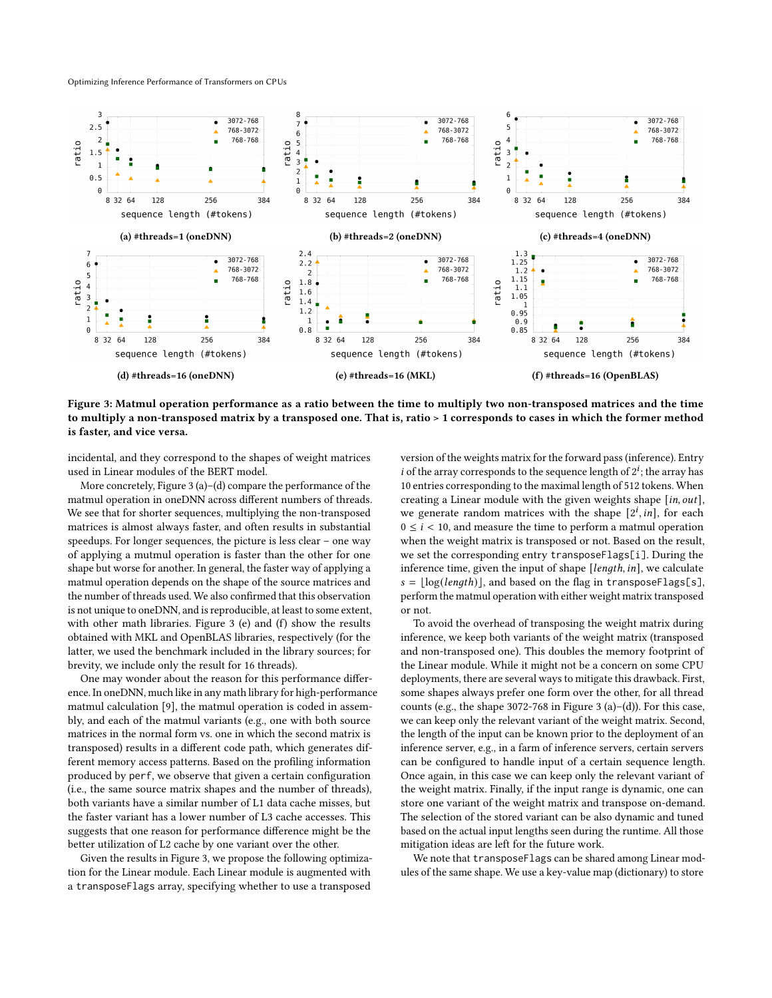Optimizing Inference Performance of Transformers on CPUs

<span id="page-4-0"></span>

Figure 3: Matmul operation performance as a ratio between the time to multiply two non-transposed matrices and the time to multiply a non-transposed matrix by a transposed one. That is, ratio > 1 corresponds to cases in which the former method is faster, and vice versa.

incidental, and they correspond to the shapes of weight matrices used in Linear modules of the BERT model.

More concretely, Figure [3](#page-4-0) (a)–(d) compare the performance of the matmul operation in oneDNN across different numbers of threads. We see that for shorter sequences, multiplying the non-transposed matrices is almost always faster, and often results in substantial speedups. For longer sequences, the picture is less clear – one way of applying a mutmul operation is faster than the other for one shape but worse for another. In general, the faster way of applying a matmul operation depends on the shape of the source matrices and the number of threads used. We also confirmed that this observation is not unique to oneDNN, and is reproducible, at least to some extent, with other math libraries. Figure [3](#page-4-0) (e) and (f) show the results obtained with MKL and OpenBLAS libraries, respectively (for the latter, we used the benchmark included in the library sources; for brevity, we include only the result for 16 threads).

One may wonder about the reason for this performance difference. In oneDNN, much like in any math library for high-performance matmul calculation [\[9\]](#page-6-17), the matmul operation is coded in assembly, and each of the matmul variants (e.g., one with both source matrices in the normal form vs. one in which the second matrix is transposed) results in a different code path, which generates different memory access patterns. Based on the profiling information produced by perf, we observe that given a certain configuration (i.e., the same source matrix shapes and the number of threads), both variants have a similar number of L1 data cache misses, but the faster variant has a lower number of L3 cache accesses. This suggests that one reason for performance difference might be the better utilization of L2 cache by one variant over the other.

Given the results in Figure [3,](#page-4-0) we propose the following optimization for the Linear module. Each Linear module is augmented with a transposeFlags array, specifying whether to use a transposed

version of the weights matrix for the forward pass (inference). Entry i of the array corresponds to the sequence length of  $2^i$ ; the array has 10 entries corresponding to the maximal length of 512 tokens. When creating a Linear module with the given weights shape  $[$ in, out], we generate random matrices with the shape  $[2^i, in]$ , for each  $0 \le i < 10$ , and measure the time to perform a matmul operation when the weight matrix is transposed or not. Based on the result, we set the corresponding entry transposeFlags[i]. During the inference time, given the input of shape  $[length, in]$ , we calculate  $s = \lfloor \log(length)]$ , and based on the flag in transposeFlags[s], perform the matmul operation with either weight matrix transposed or not.

To avoid the overhead of transposing the weight matrix during inference, we keep both variants of the weight matrix (transposed and non-transposed one). This doubles the memory footprint of the Linear module. While it might not be a concern on some CPU deployments, there are several ways to mitigate this drawback. First, some shapes always prefer one form over the other, for all thread counts (e.g., the shape 3072-768 in Figure [3](#page-4-0) (a)–(d)). For this case, we can keep only the relevant variant of the weight matrix. Second, the length of the input can be known prior to the deployment of an inference server, e.g., in a farm of inference servers, certain servers can be configured to handle input of a certain sequence length. Once again, in this case we can keep only the relevant variant of the weight matrix. Finally, if the input range is dynamic, one can store one variant of the weight matrix and transpose on-demand. The selection of the stored variant can be also dynamic and tuned based on the actual input lengths seen during the runtime. All those mitigation ideas are left for the future work.

We note that transposeFlags can be shared among Linear modules of the same shape. We use a key-value map (dictionary) to store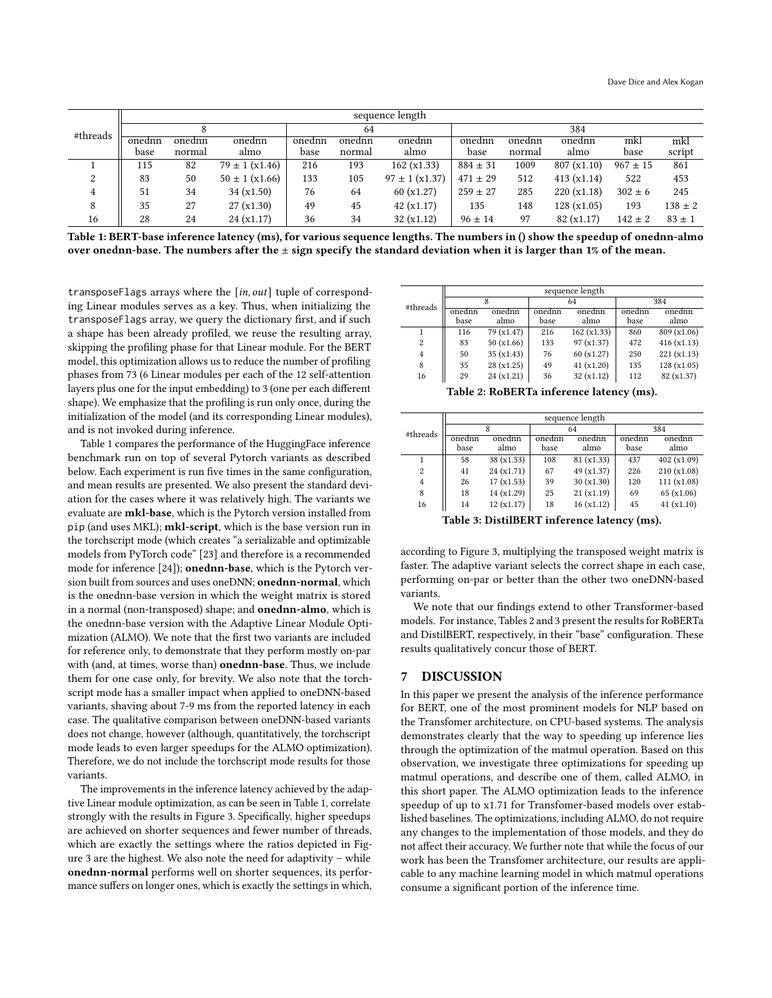<span id="page-5-1"></span>

|          | sequence length |        |                          |        |        |                       |              |        |            |              |             |
|----------|-----------------|--------|--------------------------|--------|--------|-----------------------|--------------|--------|------------|--------------|-------------|
| #threads |                 |        |                          | 64     |        |                       | 384          |        |            |              |             |
|          | onednn          | onednn | onednn                   | onednn | onednn | onednn                | onednn       | onednn | onednn     | mkl          | mkl         |
|          | base            | normal | almo                     | base   | normal | almo                  | base         | normal | almo       | base         | script      |
|          | 115             | 82     | $79 \pm 1 \times (1.46)$ | 216    | 193    | 162(x1.33)            | $884 \pm 31$ | 1009   | 807(x1.10) | $967 \pm 15$ | 861         |
| $\Omega$ | 83              | 50     | $50 \pm 1$ (x1.66)       | 133    | 105    | $97 \pm 1 \, (x1.37)$ | $471 \pm 29$ | 512    | 413(x1.14) | 522          | 453         |
| 4        | 51              | 34     | 34(x1.50)                | 76     | 64     | 60(x1.27)             | $259 \pm 27$ | 285    | 220(x1.18) | $302 \pm 6$  | 245         |
| 8        | 35              | 27     | 27(x1.30)                | 49     | 45     | 42(x1.17)             | 135          | 148    | 128(x1.05) | 193          | $138 \pm 2$ |
| 16       | 28              | 24     | 24(x1.17)                | 36     | 34     | 32(x1.12)             | $96 \pm 14$  | 97     | 82(x1.17)  | $142 \pm 2$  | $83 \pm 1$  |

Table 1: BERT-base inference latency (ms), for various sequence lengths. The numbers in () show the speedup of onednn-almo over onednn-base. The numbers after the  $\pm$  sign specify the standard deviation when it is larger than 1% of the mean.

transposeFlags arrays where the  $[$ in, out] tuple of corresponding Linear modules serves as a key. Thus, when initializing the transposeFlags array, we query the dictionary first, and if such a shape has been already profiled, we reuse the resulting array, skipping the profiling phase for that Linear module. For the BERT model, this optimization allows us to reduce the number of profiling phases from 73 (6 Linear modules per each of the 12 self-attention layers plus one for the input embedding) to 3 (one per each different shape). We emphasize that the profiling is run only once, during the initialization of the model (and its corresponding Linear modules), and is not invoked during inference.

Table [1](#page-5-1) compares the performance of the HuggingFace inference benchmark run on top of several Pytorch variants as described below. Each experiment is run five times in the same configuration, and mean results are presented. We also present the standard deviation for the cases where it was relatively high. The variants we evaluate are mkl-base, which is the Pytorch version installed from pip (and uses MKL); mkl-script, which is the base version run in the torchscript mode (which creates "a serializable and optimizable models from PyTorch code" [\[23\]](#page-6-37) and therefore is a recommended mode for inference [\[24\]](#page-6-38)); onednn-base, which is the Pytorch version built from sources and uses oneDNN; onednn-normal, which is the onednn-base version in which the weight matrix is stored in a normal (non-transposed) shape; and onednn-almo, which is the onednn-base version with the Adaptive Linear Module Optimization (ALMO). We note that the first two variants are included for reference only, to demonstrate that they perform mostly on-par with (and, at times, worse than) onednn-base. Thus, we include them for one case only, for brevity. We also note that the torchscript mode has a smaller impact when applied to oneDNN-based variants, shaving about 7-9 ms from the reported latency in each case. The qualitative comparison between oneDNN-based variants does not change, however (although, quantitatively, the torchscript mode leads to even larger speedups for the ALMO optimization). Therefore, we do not include the torchscript mode results for those variants.

The improvements in the inference latency achieved by the adaptive Linear module optimization, as can be seen in Table [1,](#page-5-1) correlate strongly with the results in Figure [3.](#page-4-0) Specifically, higher speedups are achieved on shorter sequences and fewer number of threads, which are exactly the settings where the ratios depicted in Figure [3](#page-4-0) are the highest. We also note the need for adaptivity – while onednn-normal performs well on shorter sequences, its performance suffers on longer ones, which is exactly the settings in which,

<span id="page-5-2"></span>

|                | sequence length |            |        |            |        |             |  |  |  |
|----------------|-----------------|------------|--------|------------|--------|-------------|--|--|--|
| #threads       |                 |            |        | 64         | 384    |             |  |  |  |
|                | onednn          | onednn     | onednn | onednn     | onednn | onednn      |  |  |  |
|                | base            | almo       | base   | almo       | base   | almo        |  |  |  |
|                | 116             | 79 (x1.47) | 216    | 162(x1.33) | 860    | 809 (x1.06) |  |  |  |
| $\overline{2}$ | 83              | 50(x1.66)  | 133    | 97 (x1.37) | 472    | 416(x1.13)  |  |  |  |
| $\overline{4}$ | 50              | 35(x1.43)  | 76     | 60(x1.27)  | 250    | 221(x1.13)  |  |  |  |
| 8              | 35              | 28(x1.25)  | 49     | 41(x1.20)  | 135    | 128(x1.05)  |  |  |  |
| 16             | 29              | 24(x1.21)  | 36     | 32(x1.12)  | 112    | 82 (x1.37)  |  |  |  |

Table 2: RoBERTa inference latency (ms).

<span id="page-5-3"></span>

|                | sequence length |            |        |            |        |             |  |  |  |
|----------------|-----------------|------------|--------|------------|--------|-------------|--|--|--|
| #threads       |                 |            |        | 64         | 384    |             |  |  |  |
|                | onednn          | onednn     | onednn | onednn     | onednn | onednn      |  |  |  |
|                | base            | almo       | base   | almo       | base   | almo        |  |  |  |
|                | 58              | 38(x1.53)  | 108    | 81 (x1.33) | 437    | 402(x1.09)  |  |  |  |
| $\overline{c}$ | 41              | 24(x1.71)  | 67     | 49 (x1.37) | 226    | 210 (x1.08) |  |  |  |
| 4              | 26              | 17(x1.53)  | 39     | 30(x1.30)  | 120    | 111(x1.08)  |  |  |  |
| 8              | 18              | 14 (x1.29) | 25     | 21(x1.19)  | 69     | 65(x1.06)   |  |  |  |
| 16             | 14              | 12(x1.17)  | 18     | 16(x1.12)  | 45     | 41(x1.10)   |  |  |  |

Table 3: DistilBERT inference latency (ms).

according to Figure [3,](#page-4-0) multiplying the transposed weight matrix is faster. The adaptive variant selects the correct shape in each case, performing on-par or better than the other two oneDNN-based variants.

We note that our findings extend to other Transformer-based models. For instance, Tables [2](#page-5-2) and [3](#page-5-3) present the results for RoBERTa and DistilBERT, respectively, in their "base" configuration. These results qualitatively concur those of BERT.

## <span id="page-5-0"></span>7 DISCUSSION

In this paper we present the analysis of the inference performance for BERT, one of the most prominent models for NLP based on the Transfomer architecture, on CPU-based systems. The analysis demonstrates clearly that the way to speeding up inference lies through the optimization of the matmul operation. Based on this observation, we investigate three optimizations for speeding up matmul operations, and describe one of them, called ALMO, in this short paper. The ALMO optimization leads to the inference speedup of up to x1.71 for Transfomer-based models over established baselines. The optimizations, including ALMO, do not require any changes to the implementation of those models, and they do not affect their accuracy. We further note that while the focus of our work has been the Transfomer architecture, our results are applicable to any machine learning model in which matmul operations consume a significant portion of the inference time.